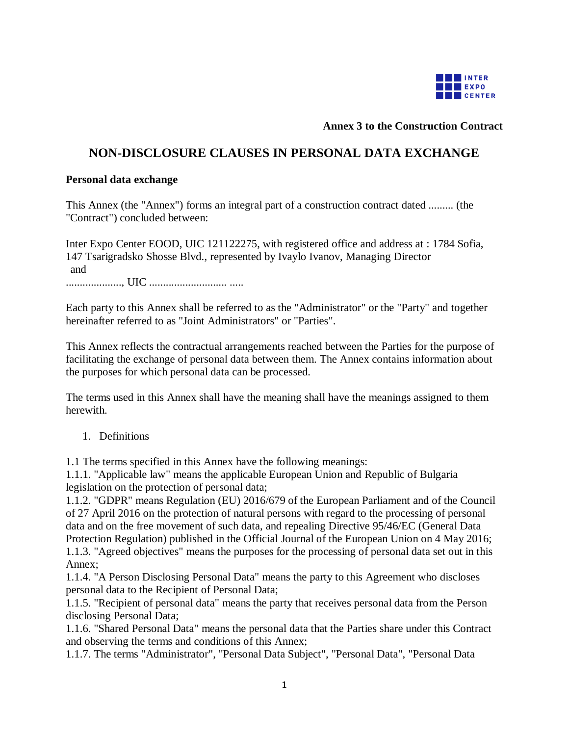

### **Annex 3 to the Construction Contract**

# **NON-DISCLOSURE CLAUSES IN PERSONAL DATA EXCHANGE**

#### **Personal data exchange**

This Annex (the "Annex") forms an integral part of a construction contract dated ......... (the "Contract") concluded between:

Inter Expo Center EOOD, UIC 121122275, with registered office and address at : 1784 Sofia, 147 Tsarigradsko Shosse Blvd., represented by Ivaylo Ivanov, Managing Director and ...................., UIC ............................ .....

Each party to this Annex shall be referred to as the "Administrator" or the "Party" and together hereinafter referred to as "Joint Administrators" or "Parties".

This Annex reflects the contractual arrangements reached between the Parties for the purpose of facilitating the exchange of personal data between them. The Annex contains information about the purposes for which personal data can be processed.

The terms used in this Annex shall have the meaning shall have the meanings assigned to them herewith.

1. Definitions

1.1 The terms specified in this Annex have the following meanings:

1.1.1. "Applicable law" means the applicable European Union and Republic of Bulgaria legislation on the protection of personal data;

1.1.2. "GDPR" means Regulation (EU) 2016/679 of the European Parliament and of the Council of 27 April 2016 on the protection of natural persons with regard to the processing of personal data and on the free movement of such data, and repealing Directive 95/46/EC (General Data Protection Regulation) published in the Official Journal of the European Union on 4 May 2016; 1.1.3. "Agreed objectives" means the purposes for the processing of personal data set out in this Annex;

1.1.4. "A Person Disclosing Personal Data" means the party to this Agreement who discloses personal data to the Recipient of Personal Data;

1.1.5. "Recipient of personal data" means the party that receives personal data from the Person disclosing Personal Data;

1.1.6. "Shared Personal Data" means the personal data that the Parties share under this Contract and observing the terms and conditions of this Annex;

1.1.7. The terms "Administrator", "Personal Data Subject", "Personal Data", "Personal Data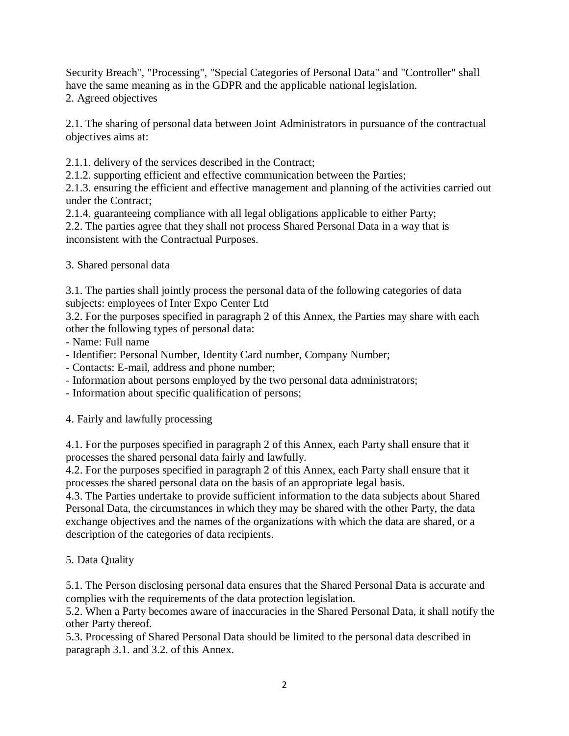Security Breach", "Processing", "Special Categories of Personal Data" and "Controller" shall have the same meaning as in the GDPR and the applicable national legislation. 2. Agreed objectives

2.1. The sharing of personal data between Joint Administrators in pursuance of the contractual objectives aims at:

2.1.1. delivery of the services described in the Contract;

2.1.2. supporting efficient and effective communication between the Parties;

2.1.3. ensuring the efficient and effective management and planning of the activities carried out under the Contract;

2.1.4. guaranteeing compliance with all legal obligations applicable to either Party;

2.2. The parties agree that they shall not process Shared Personal Data in a way that is inconsistent with the Contractual Purposes.

3. Shared personal data

3.1. The parties shall jointly process the personal data of the following categories of data subjects: employees of Inter Expo Center Ltd

3.2. For the purposes specified in paragraph 2 of this Annex, the Parties may share with each other the following types of personal data:

- Name: Full name
- Identifier: Personal Number, Identity Card number, Company Number;

- Contacts: E-mail, address and phone number;

- Information about persons employed by the two personal data administrators;
- Information about specific qualification of persons;

4. Fairly and lawfully processing

4.1. For the purposes specified in paragraph 2 of this Annex, each Party shall ensure that it processes the shared personal data fairly and lawfully.

4.2. For the purposes specified in paragraph 2 of this Annex, each Party shall ensure that it processes the shared personal data on the basis of an appropriate legal basis.

4.3. The Parties undertake to provide sufficient information to the data subjects about Shared Personal Data, the circumstances in which they may be shared with the other Party, the data exchange objectives and the names of the organizations with which the data are shared, or a description of the categories of data recipients.

5. Data Quality

5.1. The Person disclosing personal data ensures that the Shared Personal Data is accurate and complies with the requirements of the data protection legislation.

5.2. When a Party becomes aware of inaccuracies in the Shared Personal Data, it shall notify the other Party thereof.

5.3. Processing of Shared Personal Data should be limited to the personal data described in paragraph 3.1. and 3.2. of this Annex.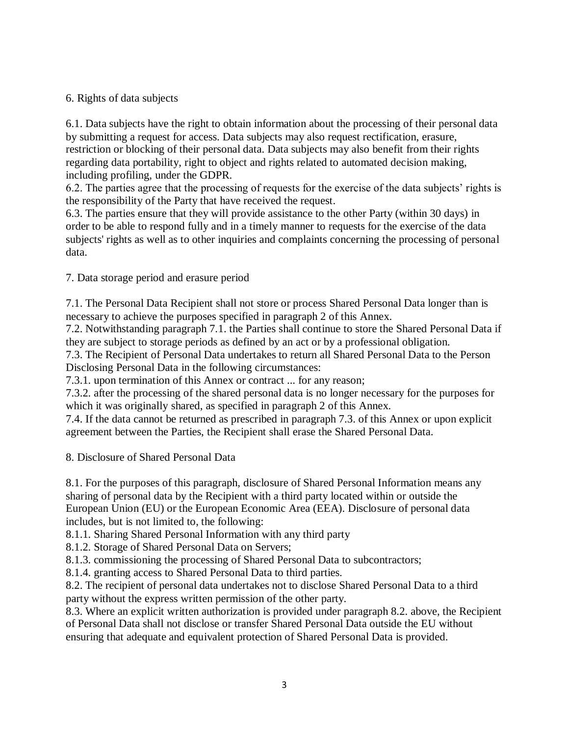### 6. Rights of data subjects

6.1. Data subjects have the right to obtain information about the processing of their personal data by submitting a request for access. Data subjects may also request rectification, erasure, restriction or blocking of their personal data. Data subjects may also benefit from their rights regarding data portability, right to object and rights related to automated decision making, including profiling, under the GDPR.

6.2. The parties agree that the processing of requests for the exercise of the data subjects' rights is the responsibility of the Party that have received the request.

6.3. The parties ensure that they will provide assistance to the other Party (within 30 days) in order to be able to respond fully and in a timely manner to requests for the exercise of the data subjects' rights as well as to other inquiries and complaints concerning the processing of personal data.

7. Data storage period and erasure period

7.1. The Personal Data Recipient shall not store or process Shared Personal Data longer than is necessary to achieve the purposes specified in paragraph 2 of this Annex.

7.2. Notwithstanding paragraph 7.1. the Parties shall continue to store the Shared Personal Data if they are subject to storage periods as defined by an act or by a professional obligation.

7.3. The Recipient of Personal Data undertakes to return all Shared Personal Data to the Person Disclosing Personal Data in the following circumstances:

7.3.1. upon termination of this Annex or contract ... for any reason;

7.3.2. after the processing of the shared personal data is no longer necessary for the purposes for which it was originally shared, as specified in paragraph 2 of this Annex.

7.4. If the data cannot be returned as prescribed in paragraph 7.3. of this Annex or upon explicit agreement between the Parties, the Recipient shall erase the Shared Personal Data.

8. Disclosure of Shared Personal Data

8.1. For the purposes of this paragraph, disclosure of Shared Personal Information means any sharing of personal data by the Recipient with a third party located within or outside the European Union (EU) or the European Economic Area (EEA). Disclosure of personal data includes, but is not limited to, the following:

8.1.1. Sharing Shared Personal Information with any third party

8.1.2. Storage of Shared Personal Data on Servers;

8.1.3. commissioning the processing of Shared Personal Data to subcontractors;

8.1.4. granting access to Shared Personal Data to third parties.

8.2. The recipient of personal data undertakes not to disclose Shared Personal Data to a third party without the express written permission of the other party.

8.3. Where an explicit written authorization is provided under paragraph 8.2. above, the Recipient of Personal Data shall not disclose or transfer Shared Personal Data outside the EU without ensuring that adequate and equivalent protection of Shared Personal Data is provided.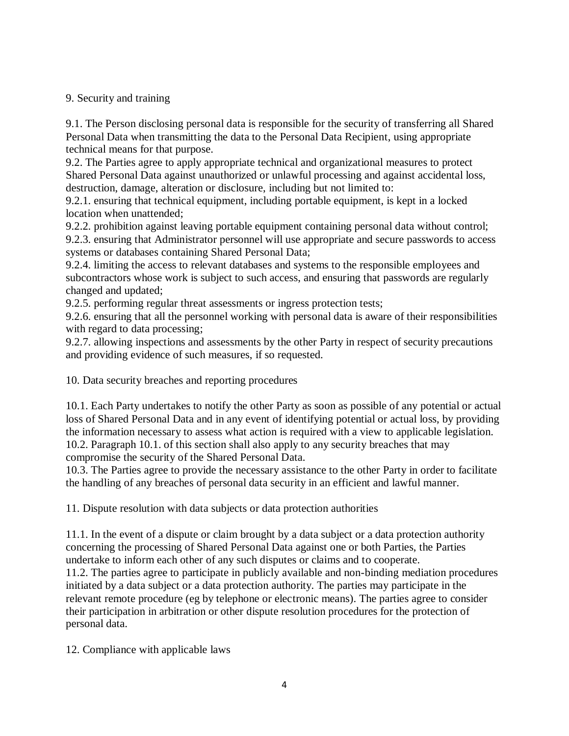## 9. Security and training

9.1. The Person disclosing personal data is responsible for the security of transferring all Shared Personal Data when transmitting the data to the Personal Data Recipient, using appropriate technical means for that purpose.

9.2. The Parties agree to apply appropriate technical and organizational measures to protect Shared Personal Data against unauthorized or unlawful processing and against accidental loss, destruction, damage, alteration or disclosure, including but not limited to:

9.2.1. ensuring that technical equipment, including portable equipment, is kept in a locked location when unattended;

9.2.2. prohibition against leaving portable equipment containing personal data without control; 9.2.3. ensuring that Administrator personnel will use appropriate and secure passwords to access systems or databases containing Shared Personal Data;

9.2.4. limiting the access to relevant databases and systems to the responsible employees and subcontractors whose work is subject to such access, and ensuring that passwords are regularly changed and updated;

9.2.5. performing regular threat assessments or ingress protection tests;

9.2.6. ensuring that all the personnel working with personal data is aware of their responsibilities with regard to data processing;

9.2.7. allowing inspections and assessments by the other Party in respect of security precautions and providing evidence of such measures, if so requested.

10. Data security breaches and reporting procedures

10.1. Each Party undertakes to notify the other Party as soon as possible of any potential or actual loss of Shared Personal Data and in any event of identifying potential or actual loss, by providing the information necessary to assess what action is required with a view to applicable legislation. 10.2. Paragraph 10.1. of this section shall also apply to any security breaches that may compromise the security of the Shared Personal Data.

10.3. The Parties agree to provide the necessary assistance to the other Party in order to facilitate the handling of any breaches of personal data security in an efficient and lawful manner.

11. Dispute resolution with data subjects or data protection authorities

11.1. In the event of a dispute or claim brought by a data subject or a data protection authority concerning the processing of Shared Personal Data against one or both Parties, the Parties undertake to inform each other of any such disputes or claims and to cooperate.

11.2. The parties agree to participate in publicly available and non-binding mediation procedures initiated by a data subject or a data protection authority. The parties may participate in the relevant remote procedure (eg by telephone or electronic means). The parties agree to consider their participation in arbitration or other dispute resolution procedures for the protection of personal data.

12. Compliance with applicable laws